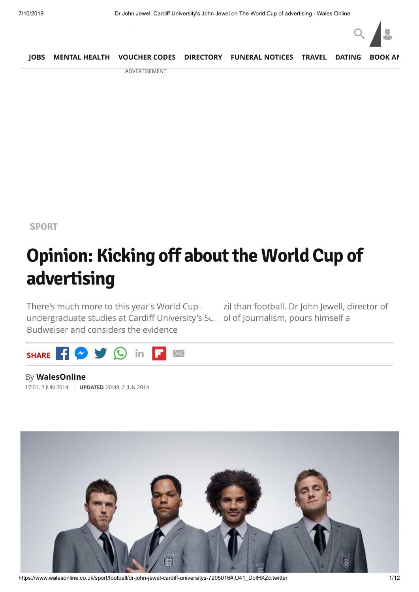

|  |                 | JOBS MENTAL HEALTH VOUCHER CODES DIRECTORY FUNERAL NOTICES TRAVEL DATING BOOK AN |  |  |
|--|-----------------|----------------------------------------------------------------------------------|--|--|
|  | A DUC DELCEMENT |                                                                                  |  |  |

ADVERTISEMENT

**[SPORT](https://www.walesonline.co.uk/sport/)**

# **Opinion: Kicking off about the World Cup of advertising**

There's much more to this year's World Cup in Brazil than football. Dr John Jewell, director of undergraduate studies at Cardiff University's Su. ol of Journalism, pours himself a Budweiser and considers the evidence



By **WalesOnline** 17:01, 2 JUN 2014 **UPDATED** 20:48, 2 JUN 2014



https://www.walesonline.co.uk/sport/football/dr-john-jewel-cardiff-universitys-7205016#.U41\_DqlHXZc.twitter 1/12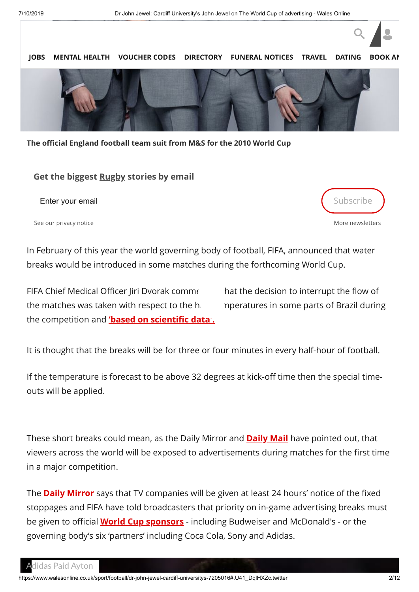

**The official England football team suit from M&S for the 2010 World Cup**

#### **Get the biggest Rugby stories by email**

Enter your email subscribe that the state of the state of the state of the state of the Subscribe

See our [privacy notice](https://www.walesonline.co.uk/privacy-policy/)

[More newsletters](https://communicatoremail.com/IN/DCF/A8H9jAkG3nMZsLXGF91M1D/)

 $Q \parallel$ 

In February of this year the world governing body of football, FIFA, announced that water breaks would be introduced in some matches during the forthcoming World Cup.

FIFA Chief Medical Officer Jiri Dvorak commes hat the decision to interrupt the flow of the matches was taken with respect to the  $h_i$  peratures in some parts of Brazil during the competition and **['based on scientific data'.](http://www.sportsbusinessdaily.com/Global/Issues/2014/02/17/International-Football/Water-Breaks.aspx)**

It is thought that the breaks will be for three or four minutes in every half-hour of football.

If the temperature is forecast to be above 32 degrees at kick-off time then the special timeouts will be applied.

These short breaks could mean, as the Daily Mirror and **[Daily Mail](http://www.dailymail.co.uk/sport/worldcup2014/article-2631147/World-Cup-viewers-face-adverts-DURING-matches-ITV-cash-mid-half-water-breaks.html)** have pointed out, that viewers across the world will be exposed to advertisements during matches for the first time in a major competition.

The **[Daily Mirror](http://www.mirror.co.uk/sport/football/world-cup-2014/england-world-cup-fans-face-3552971)** says that TV companies will be given at least 24 hours' notice of the fixed stoppages and FIFA have told broadcasters that priority on in-game advertising breaks must be given to official **[World Cup sponsors](http://www.fifa.com/worldcup/organisation/partners/)** - including Budweiser and McDonald's - or the governing body's six 'partners' including Coca Cola, Sony and Adidas.

idas Paid Ayton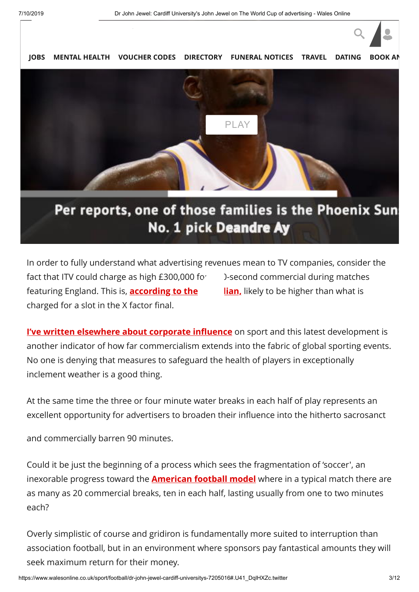

**[JOBS](https://www.fish4.co.uk/jobs/wales/?utm_source=tm-walesonline&utm_medium=referral&utm_campaign=navlink) [MENTAL HEALTH](https://timewith.co.uk/blog?utm_source=wales_online&utm_medium=nav_bar) [VOUCHER CODES](https://discountcode.mirror.co.uk/) [DIRECTORY](https://www.inyourarea.co.uk/localservices?branding=walesonline) [FUNERAL NOTICES](https://www.funeral-notices.co.uk/wales) [TRAVEL](https://www.walesonline.co.uk/special-features/holiday-deals-walesonline-travel-beach-14554645)** [DATING](http://dating.walesonline.co.uk/)



## Per reports, one of those families is the Phoenix Sun No. 1 pick Deandre Ay

In order to fully understand what advertising revenues mean to TV companies, consider the fact that ITV could charge as high £300,000 fo<sup>r</sup> D-second commercial during matches featuring England. This is, **according to the Suardian**, likely to be higher than what is charged for a slot in the X factor final.

**[I've written elsewhere about corporate influence](http://www.jomec.co.uk/blog/author/jomec_jewell/)** on sport and this latest development is another indicator of how far commercialism extends into the fabric of global sporting events. No one is denying that measures to safeguard the health of players in exceptionally inclement weather is a good thing.

At the same time the three or four minute water breaks in each half of play represents an excellent opportunity for advertisers to broaden their influence into the hitherto sacrosanct

and commercially barren 90 minutes.

Could it be just the beginning of a process which sees the fragmentation of 'soccer', an inexorable progress toward the **[American football model](https://theconversation.com/forget-seahawks-vs-broncos-ads-are-the-super-bowl-stars-22553)** where in a typical match there are as many as 20 commercial breaks, ten in each half, lasting usually from one to two minutes each?

Overly simplistic of course and gridiron is fundamentally more suited to interruption than association football, but in an environment where sponsors pay fantastical amounts they will seek maximum return for their money.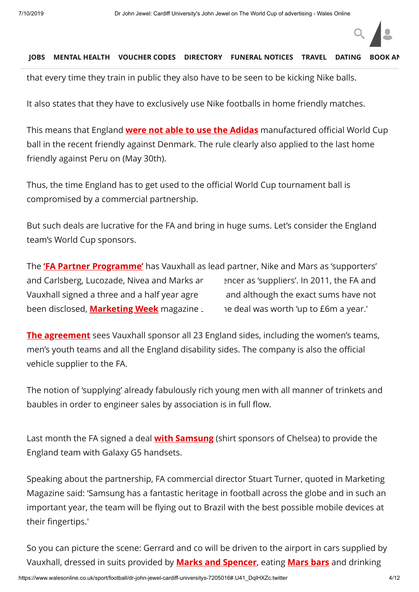#### [Engla](https://www.fish4.co.uk/jobs/wales/?utm_source=tm-walesonline&utm_medium=referral&utm_campaign=navlink)[nd's all encompa](https://timewith.co.uk/blog?utm_source=wales_online&utm_medium=nav_bar)[ssing contract wit](https://discountcode.mirror.co.uk/)h **[Nike \(worth £25m per year until 2018\)](http://blogs.independent.co.uk/2013/05/20/nike-kit-deal-puts-england-at-no-2-in-the-world-but-which-country-is-top/)** stipulates **JOBS MENTAL HEALTH VOUCHER CODES [DIRECTORY](https://www.inyourarea.co.uk/localservices?branding=walesonline) FUNERAL NOTICES TRAVEL [DATING](http://dating.walesonline.co.uk/)**

that every time they train in public they also have to be seen to be kicking Nike balls.

It also states that they have to exclusively use Nike footballs in home friendly matches.

This means that England **[were not able to use the Adidas](http://www.mirror.co.uk/sport/football/news/england-want-world-cup-ball-2920412)** manufactured official World Cup ball in the recent friendly against Denmark. The rule clearly also applied to the last home friendly against Peru on (May 30th).

Thus, the time England has to get used to the official World Cup tournament ball is compromised by a commercial partnership.

But such deals are lucrative for the FA and bring in huge sums. Let's consider the England team's World Cup sponsors.

The **['FA Partner Programme'](http://www.thefa.com/thefa/whoweare/sponsors)** has Vauxhall as lead partner, Nike and Mars as 'supporters' and Carlsberg, Lucozade, Nivea and Marks area net as 'suppliers'. In 2011, the FA and Vauxhall signed a three and a half year agre and although the exact sums have not been disclosed, **[Marketing Week](http://www.marketingweek.co.uk/vauxhall-confirms-england-sponsorship/3022148.article)** magazine said the deal was worth 'up to £6m a year.'

**[The agreement](http://www.bbc.co.uk/news/business-12160434)** sees Vauxhall sponsor all 23 England sides, including the women's teams, men's youth teams and all the England disability sides. The company is also the official vehicle supplier to the FA.

The notion of 'supplying' already fabulously rich young men with all manner of trinkets and baubles in order to engineer sales by association is in full flow.

Last month the FA signed a deal **[with Samsung](http://www.marketingweek.co.uk/sectors/sport/news/samsung-named-the-fas-first-smartphone-partner/4010470.article)** (shirt sponsors of Chelsea) to provide the England team with Galaxy G5 handsets.

Speaking about the partnership, FA commercial director Stuart Turner, quoted in Marketing Magazine said: 'Samsung has a fantastic heritage in football across the globe and in such an important year, the team will be flying out to Brazil with the best possible mobile devices at their fingertips.'

So you can picture the scene: Gerrard and co will be driven to the airport in cars supplied by Vauxhall, dressed in suits provided by **[Marks and Spencer](http://www.dailymail.co.uk/sport/worldcup2014/article-2618627/Steven-Gerrard-Co-Englands-Marks-Spencer-World-Cup-suits-ahead-summer-trip-Brazil.html)**, eating **[Mars bars](http://www.youtube.com/watch?v=6HAYf_QJw2g)** and drinking

 $Q \parallel$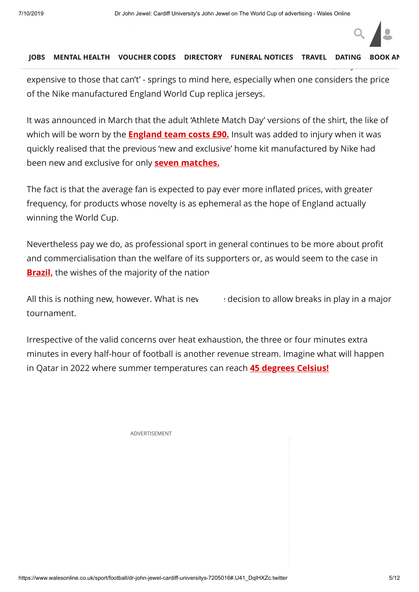#### The maximum from the maximum from the classic film Within Within Within Within Within Within Within Within With **[JOBS](https://www.fish4.co.uk/jobs/wales/?utm_source=tm-walesonline&utm_medium=referral&utm_campaign=navlink) [MENTAL HEALTH](https://timewith.co.uk/blog?utm_source=wales_online&utm_medium=nav_bar) [VOUCHER CODES](https://discountcode.mirror.co.uk/) [DIRECTORY](https://www.inyourarea.co.uk/localservices?branding=walesonline) [FUNERAL NOTICES](https://www.funeral-notices.co.uk/wales) [TRAVEL](https://www.walesonline.co.uk/special-features/holiday-deals-walesonline-travel-beach-14554645) [DATING](http://dating.walesonline.co.uk/) [BOOK AN](http://www.bookanad.com/regions/wales/)**

**[Carlsberg](http://www.marketingmagazine.co.uk/article/1075091/carlsberg-signs-new-sponsorship-deal-fa)** [whilst perusing t](https://www.walesonline.co.uk/)he Samsung Galaxy S5 device's health features such as a heart-

expensive to those that can't' - springs to mind here, especially when one considers the price of the Nike manufactured England World Cup replica jerseys.

It was announced in March that the adult 'Athlete Match Day' versions of the shirt, the like of which will be worn by the **[England team costs £90.](http://theday.co.uk/sport/england-fans-fury-over-90-football-shirt)** Insult was added to injury when it was quickly realised that the previous 'new and exclusive' home kit manufactured by Nike had been new and exclusive for only **[seven matches.](http://www.bbc.co.uk/sport/0/football/26826554)**

The fact is that the average fan is expected to pay ever more inflated prices, with greater frequency, for products whose novelty is as ephemeral as the hope of England actually winning the World Cup.

Nevertheless pay we do, as professional sport in general continues to be more about profit and commercialisation than the welfare of its supporters or, as would seem to the case in **Brazil**, the wishes of the majority of the nation.

All this is nothing new, however. What is new  $\cdot$  decision to allow breaks in play in a major tournament.

Irrespective of the valid concerns over heat exhaustion, the three or four minutes extra minutes in every half-hour of football is another revenue stream. Imagine what will happen in Qatar in 2022 where summer temperatures can reach **[45 degrees Celsius!](http://www1.skysports.com/news/12040/8931603/)**

[ADVERTISEMENT](http://ads.avocet.io/cl?x=1&aid=38670cf5-8418-308e-8d26-8575c29e8b70_0&accid=58e504653393731132219fcc&brid=5c502ae60413efee6b107173&crid=5d232fe8f6bfbe1f003eb1ea&ext_aid=38670cf5-8418-308e-8d26-8575c29e8b70_0&bt=1562763868200881311&caid=5c62f5a489f8a96f3d4bb510&tacid=5d2338a101677e1100b77f5a&ioid=5c502b4316ce49294609d423&taflid=5c61857c1fc43d9c4c28ab34&tabsid=466c857c1fc43d9c4c28ab35&iobsid=496e35d236af7711003e0329&bfr=1&brc=0&h=250&w=300&ext_siid=rubicon_xapi:157412:vlWAYkK_YBwk&ext_pid=rubicon_17164&ext_sid=rubicon&ext_plid=rubicon_750210&optv=rpr15-5d2596e1:dpr15-5d25d5d7&bip4=2214329856&url=https://servedby.flashtalking.com/click/1/103981;3836693;2672264;210;0/?ft_impID=F68F169F-63F4-BF4D-4ABA-3D0EBFA1229C&g=4102ED6E695E48&random=768698312&ft_width=300&ft_height=250&url=http://www.kinkybootsthemusical.co.uk/uk-tour/tour-dates-venues.php?utm_source=fifty&utm_medium=display&utm_campaign=kinkybootstour2019&utm_content=cardiff_300x250)

 $Q \parallel$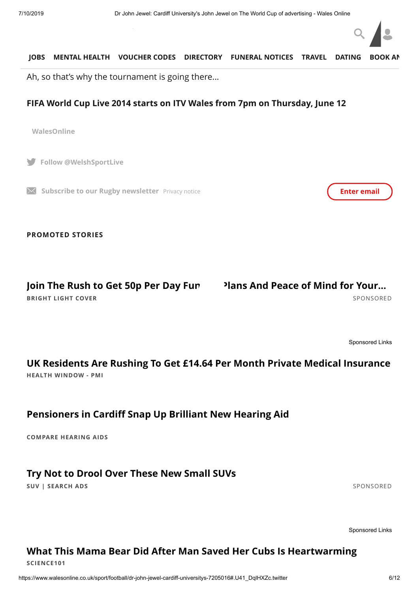

#### so. **[JOBS](https://www.fish4.co.uk/jobs/wales/?utm_source=tm-walesonline&utm_medium=referral&utm_campaign=navlink) [MENTAL HEALTH](https://timewith.co.uk/blog?utm_source=wales_online&utm_medium=nav_bar) [VOUCHER CODES](https://discountcode.mirror.co.uk/) [DIRECTORY](https://www.inyourarea.co.uk/localservices?branding=walesonline) [FUNERAL NOTICES](https://www.funeral-notices.co.uk/wales) [TRAVEL](https://www.walesonline.co.uk/special-features/holiday-deals-walesonline-travel-beach-14554645) [DATING](http://dating.walesonline.co.uk/) [BOOK AN](http://www.bookanad.com/regions/wales/)**

Ah, so that's why the tournament is going there...

#### **FIFA World Cup Live 2014 starts on ITV Wales from 7pm on Thursday, June 12**

**WalesOnline**

**Follow @WelshSportLive**

**Subscribe to our Rugby newsletter** [Privacy notice](https://www.walesonline.co.uk/privacy-policy/) **Enter email Enter email** 

**PROMOTED STORIES**

## Join The Rush to Get 50p Per Day Fun Plans And Peace of Mind for Your...

**BRIGHT LIGHT COVER** [SPONSORED](https://popup.taboola.com/en/?template=colorbox&utm_source=tmg-walesonline&utm_medium=referral&utm_content=thumbnails-feed:Below%20Article%20Thumbnails%20Responsive%20Feed%20|%20Card%201:)

[Sponsored Links](https://popup.taboola.com/en/?template=colorbox&utm_source=tmg-walesonline&utm_medium=referral&utm_content=thumbnails-feed-a:Below%20Article%20Thumbnails%20Responsive%20Feed%20|%20Card%202:)

## **HEALTH WINDOW - PMI [UK Residents Are Rushing To Get £14.64 Per Month Private Medical Insurance](https://magnetise.io/click?ad=1481&site=463&layoutType=in_banner&layout=3051&action=1697&_msai=tmg-walesonline&_msd=CjAyN2ViZThiNy04YmY0LTRiNmQtOGY5Ni1hYjBjY2QyYThmN2QtdHVjdDM5ZTI1MWYSHm1hZ25ldGlzZW1lZGlhLWhlYWx0aHdpbmRvdy1zYw&utm_content=150553028)**

## **[Pensioners in Cardiff Snap Up Brilliant New Hearing Aid](http://comparehearingaids.org/news/?code=NATO&utm_source=Taboola&utm_medium=Native&utm_campaign=Taboola&utm_term=tmg-walesonline)**

**COMPARE HEARING AIDS**

## **[Try Not to Drool Over These New Small SUVs](http://m.tracktechs.net/b8f61032-5f99-424b-95bb-ee0816109be4?subid1=tmg-walesonline&subid2=2331564&subid3=234286416&cid=CjAyN2ViZThiNy04YmY0LTRiNmQtOGY5Ni1hYjBjY2QyYThmN2QtdHVjdDM5ZTI1MWYSGWNhdGFseXN0YWR2ZXJ0aXNpbmctdWstc2M)**

**SUV | SEARCH ADS** [SPONSORED](https://popup.taboola.com/en/?template=colorbox&utm_source=tmg-walesonline&utm_medium=referral&utm_content=thumbnails-feed:Below%20Article%20Thumbnails%20Responsive%20Feed%20|%20Card%203:)

[Sponsored Links](https://popup.taboola.com/en/?template=colorbox&utm_source=tmg-walesonline&utm_medium=referral&utm_content=thumbnails-feed-a:Below%20Article%20Thumbnails%20Responsive%20Feed%20|%20Card%204:)

## **[What This Mama Bear Did After Man Saved Her Cubs Is Heartwarming](https://www.science101.com/mother-bear-cubs/?utm_source=talas&utm_campaign=At_TS_S101_UK_D_MotherBear_Gallery_v1_0307-What+This+Mama+Bear+Did+After+Man+Saved+Her+Cubs+Is+Heartwarming-https%3A%2F%2Fstorage.googleapis.com%2Fcaw-uploads%2Fa0281740f887c2da551bd51e91098640.&utm_term=tmg-walesonline&utm_medium=At_TS_S101_UK_D_MotherBear_Gallery_v1_0307&utm_content=newnext)**

**SCIENCE101**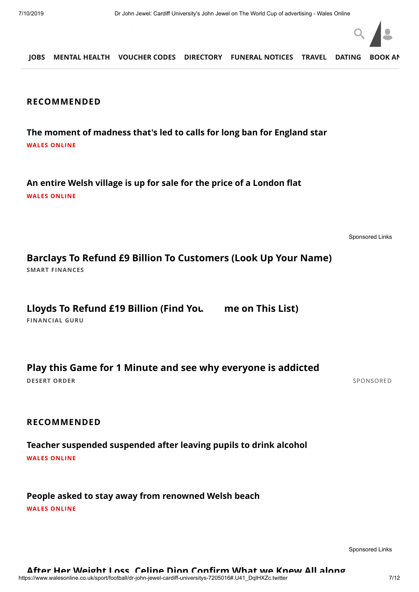

**FINANCIAL Barclays to Issue £2,767 Person, But You Must Act Fast JOBS MENTAL HEALTH VOUCHER CODES DIRECTORY FUNERAL NOTICES [TRAVEL](https://www.walesonline.co.uk/special-features/holiday-deals-walesonline-travel-beach-14554645) [DATING](http://dating.walesonline.co.uk/) [BOOK AN](http://www.bookanad.com/regions/wales/)**

#### **RECOMMENDED**

**[The moment of madness that's led to calls for long ban for England star](https://www.walesonline.co.uk/sport/rugby/alfie-barbeary-tackle-moment-madness-16380898?int_source=taboola&int_medium=display&int_campaign=organic) WALES ONLINE**

**[An entire Welsh village is up for sale for the price of a London flat](https://www.walesonline.co.uk/lifestyle/welsh-homes/entire-welsh-village-up-sale-14864154?int_source=taboola&int_medium=display&int_campaign=organic) WALES ONLINE**

[Sponsored Links](https://popup.taboola.com/en/?template=colorbox&utm_source=tmg-walesonline&utm_medium=referral&utm_content=thumbnails-feed-a:Below%20Article%20Thumbnails%20Responsive%20Feed%20|%20Card%207:)

**SMART FINANCES [Barclays To Refund £9 Billion To Customers \(Look Up Your Name\)](http://track.adtopia.club/native_track.php?value=eGh4RVhYTXlBSERLaW9KdzZHam5EVFhXWktaWGNHUWFzZU1WR2psOGpYdz0=&cid=2171821&crvid=214388715&pubid=tmg-walesonline&ts=2019-07-10+13%3A04%3A28&title=Barclays+To+Refund+%C2%A39+Billion+To+Customers+%28Look+Up+Your+Name%29&platform=Desktop&click_id=CjAyN2ViZThiNy04YmY0LTRiNmQtOGY5Ni1hYjBjY2QyYThmN2QtdHVjdDM5ZTI1MWYSI2xvbmRvbmJyaWRnZXBlcmZvcm1hbmNlbWVkaWEtcHBpLXNj&utm_source=taboola&utm_medium=referral)**

Lloyds To Refund £19 Billion (Find You me on This List)

**FINANCIAL GURU**

**[Play this Game for 1 Minute and see why everyone is addicted](https://www.desertorder.com/?r=tabdo1ena94&utm_source=taboola&utm_medium=referral)**

**DESERT ORDER** [SPONSORED](https://popup.taboola.com/en/?template=colorbox&utm_source=tmg-walesonline&utm_medium=referral&utm_content=thumbnails-feed:Below%20Article%20Thumbnails%20Responsive%20Feed%20|%20Card%208:)

#### **RECOMMENDED**

**[Teacher suspended suspended after leaving pupils to drink alcohol](https://www.walesonline.co.uk/news/wales-news/popular-primary-school-teacher-suspended-14867309?int_source=taboola&int_medium=display&int_campaign=organic) WALES ONLINE**

**[People asked to stay away from renowned Welsh beach](https://www.walesonline.co.uk/news/wales-news/world-renowned-hidden-gem-barafundle-14928831?int_source=taboola&int_medium=display&int_campaign=organic) WALES ONLINE**

[Sponsored Links](https://popup.taboola.com/en/?template=colorbox&utm_source=tmg-walesonline&utm_medium=referral&utm_content=thumbnails-feed-a:Below%20Article%20Thumbnails%20Responsive%20Feed%20|%20Card%2010:)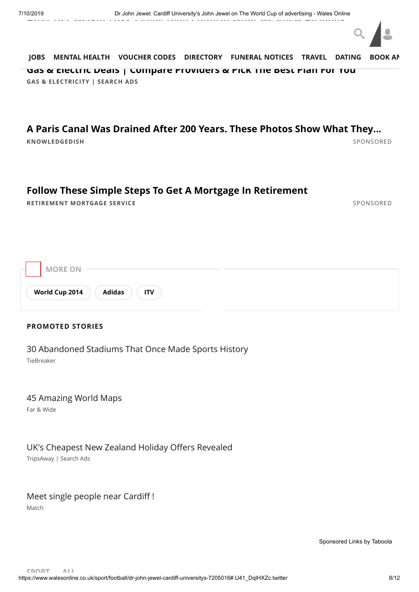

**GAS & ELECTRICITY | SEARCH ADS [Gas & Electric Deals | Compare Providers & Pick The Best Plan For You](https://uk.offersland.net/best/gas-and-electricity?utm_source=taboola&utm_medium=referral&pbid=tmg-walesonline&3id=3471880&device=c) [JOBS](https://www.fish4.co.uk/jobs/wales/?utm_source=tm-walesonline&utm_medium=referral&utm_campaign=navlink) [MENTAL HEALTH](https://timewith.co.uk/blog?utm_source=wales_online&utm_medium=nav_bar) [VOUCHER CODES](https://discountcode.mirror.co.uk/) [DIRECTORY](https://www.inyourarea.co.uk/localservices?branding=walesonline) [FUNERAL NOTICES](https://www.funeral-notices.co.uk/wales) [TRAVEL](https://www.walesonline.co.uk/special-features/holiday-deals-walesonline-travel-beach-14554645) [DATING](http://dating.walesonline.co.uk/) [BOOK AN](http://www.bookanad.com/regions/wales/)**

## **KNOWLEDGEDISH** [SPONSORED](https://popup.taboola.com/en/?template=colorbox&utm_source=tmg-walesonline&utm_medium=referral&utm_content=thumbnails-feed:Below%20Article%20Thumbnails%20Responsive%20Feed%20|%20Card%2011:) **[A Paris Canal Was Drained After 200 Years. These Photos Show What They…](https://knowledgedish.com/you-wont-believe-what-was-found-after-this-200-year-old-canal-was-drained/?utm_source=taboola&utm_campaign=t1-dt-kdsh-canal-tb&utm_medium=tmg-walesonline&utm_content=https%3A%2F%2Fconsole.prezna.com%2Fget%2Fa3H-5820222166171243866.jpg&utm_term=A+Paris+Canal+Was+Drained+After+200+Years.+These+Photos+Show+What+They+Found&layout=gallery&lp=1)**

## **[Follow These Simple Steps To Get A Mortgage In Retirement](https://responsiblelife.co.uk/rms/?source=TB&medium=1&term=rms-rll-native-desktop&utm_source=taboola&utm_medium=referral&utm_campaign=1838471)**

**RETIREMENT MORTGAGE SERVICE** [SPONSORED](https://popup.taboola.com/en/?template=colorbox&utm_source=tmg-walesonline&utm_medium=referral&utm_content=thumbnails-feed:Below%20Article%20Thumbnails%20Responsive%20Feed%20|%20Card%2012:)

| $\sim$ | <b>MORE ON</b>                         |  |
|--------|----------------------------------------|--|
|        | <b>Adidas</b><br>World Cup 2014<br>'TV |  |

#### **PROMOTED STORIES**

[30 Abandoned Stadiums That Once Made Sports History](https://www.tiebreaker.com/abandoned-stadiums-that-will-haunt-your-tepid-soul/?utm_source=talas&utm_campaign=A_TS_TB_UK_D_AbandonedStadiums_v1_3005-30+Abandoned+Stadiums+That+Once+Made+Sports+History-https%3A%2F%2Fstorage.googleapis.com%2Fcaw-uploads%2F1d95f14ec4ba82e9a1c9648f233ef812.jpg&utm_term=tmg-walesonline&utm_medium=A_TS_TB_UK_D_AbandonedStadiums_v1_3005&utm_content=newnext)

TieBreaker

#### [45 Amazing World Maps](https://www.farandwide.com/s/amazing-world-maps-74d6186e6d0e414b?utm_campaign=amazingworldmaps-def0fcbeb4864737&utm_source=tab&utm_medium=cpc&utm_term=tmg-walesonline)

Far & Wide

## [UK's Cheapest New Zealand Holiday Offers Revealed](https://www.tripsaway.net/holidays/new-zealand-holidays?utm_source=taboola&utm_medium=referral&device=c&3id=4135197&pbid=tmg-walesonline&y=new-zealand-holidays&tpl=9)

TripsAway | Search Ads

## [Meet single people near Cardiff !](http://k.ilius.net/?mtcmk=908636&fsid=100&utm_source=taboola&utm_term=tmg-walesonline)

Match

[Sponsored Links](https://popup.taboola.com/en/?template=colorbox&utm_source=tmg-walesonline&utm_medium=referral&utm_content=thumbnails-e:Right%20Rail%20Thumbnails%20Responsive:) [by Taboola](https://popup.taboola.com/en/?template=colorbox&utm_source=tmg-walesonline&utm_medium=referral&utm_content=thumbnails-e:Right%20Rail%20Thumbnails%20Responsive:)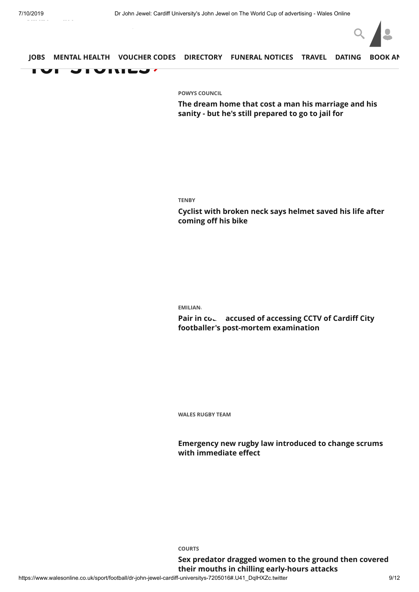

### **[TO](https://www.fish4.co.uk/jobs/wales/?utm_source=tm-walesonline&utm_medium=referral&utm_campaign=navlink)P [STORIES](https://www.walesonline.co.uk/) JOBS [MENTAL HEALTH](https://timewith.co.uk/blog?utm_source=wales_online&utm_medium=nav_bar) [VOUCHER CODES](https://discountcode.mirror.co.uk/) [DIRECTORY](https://www.inyourarea.co.uk/localservices?branding=walesonline) [FUNERAL NOTICES](https://www.funeral-notices.co.uk/wales) [TRAVEL](https://www.walesonline.co.uk/special-features/holiday-deals-walesonline-travel-beach-14554645) [DATING](http://dating.walesonline.co.uk/) [BOOK AN](http://www.bookanad.com/regions/wales/)**

**[POWYS COUNCIL](https://www.walesonline.co.uk/all-about/powys-council)**

**[The dream home that cost a man his marriage and his](https://www.walesonline.co.uk/news/wales-news/llandrindod-wells-kevin-mccloud-powys-16555005) sanity - but he's still prepared to go to jail for**

#### **[TENBY](https://www.walesonline.co.uk/all-about/tenby)**

**[Cyclist with broken neck says helmet saved his life after](https://www.walesonline.co.uk/news/wales-news/cycling-bike-helmet-safety-tenby-16554231) coming off his bike**

#### **EMILIAN**

Pair in cow accused of accessing CCTV of Cardiff City **footballer's post-mortem examination**

**[WALES RUGBY TEAM](https://www.walesonline.co.uk/all-about/wales-rugby-team)**

**[Emergency new rugby law introduced to change scrums](https://www.walesonline.co.uk/sport/rugby/rugby-news/emergency-new-rugby-law-introduced-16553781) with immediate effect**

**[COURTS](https://www.walesonline.co.uk/all-about/courts)**

**[Sex predator dragged women to the ground then covered](https://www.walesonline.co.uk/news/wales-news/joshua-jolly-sex-attacks-cardiff-16555928) their mouths in chilling early-hours attacks**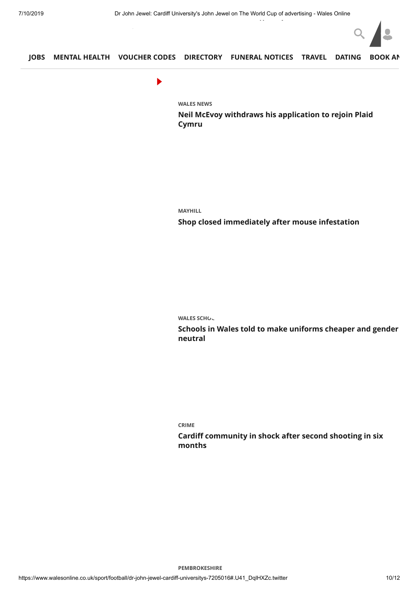

#### **[JOBS](https://www.fish4.co.uk/jobs/wales/?utm_source=tm-walesonline&utm_medium=referral&utm_campaign=navlink) [MENTAL HEALTH](https://www.walesonline.co.uk/news/wales-news/joshua-jolly-sex-attacks-cardiff-16555928) [VOUCHER CODES](https://discountcode.mirror.co.uk/) [DIRECTORY](https://www.inyourarea.co.uk/localservices?branding=walesonline) [FUNERAL NOTICES](https://www.funeral-notices.co.uk/wales) [TRAVEL](https://www.walesonline.co.uk/special-features/holiday-deals-walesonline-travel-beach-14554645) [DATING](http://dating.walesonline.co.uk/) [BOOK AN](http://www.bookanad.com/regions/wales/)**

 $\blacktriangleright$ 

**[WALES NEWS](https://www.walesonline.co.uk/news/wales-news/)**

**[Neil McEvoy withdraws his application to rejoin Plaid](https://www.walesonline.co.uk/news/wales-news/neil-mcevoy-plaid-cymru-cardiff-16562141) Cymru**

**[MAYHILL](https://www.walesonline.co.uk/all-about/mayhill)**

**[Shop closed immediately after mouse infestation](https://www.walesonline.co.uk/news/wales-news/mouse-infestation-swansea-shop-closed-16558059)**

**WALES SCHOL** 

**[Schools in Wales told to make uniforms cheaper and gender](https://www.walesonline.co.uk/news/education/schools-wales-uniform-logo-shorts-16558835) neutral**

**[CRIME](https://www.walesonline.co.uk/all-about/crime)**

**[Cardiff community in shock after second shooting in six](https://www.walesonline.co.uk/news/wales-news/cardiff-community-shock-after-second-16555419) months**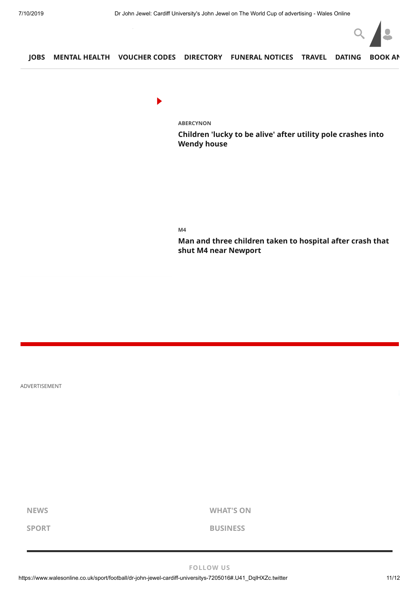

**[JOBS](https://www.fish4.co.uk/jobs/wales/?utm_source=tm-walesonline&utm_medium=referral&utm_campaign=navlink) [MENTAL HEALTH](https://www.walesonline.co.uk/news/wales-news/pembrokeshire-ramsay-island-coastguard-rescue-16559432) [VOUCHER CODES](https://discountcode.mirror.co.uk/) [DIRECTORY](https://www.inyourarea.co.uk/localservices?branding=walesonline) [FUNERAL NOTICES](https://www.funeral-notices.co.uk/wales) [TRAVEL](https://www.walesonline.co.uk/special-features/holiday-deals-walesonline-travel-beach-14554645) [DATING](http://dating.walesonline.co.uk/) [BOOK AN](http://www.bookanad.com/regions/wales/)**

 $\blacktriangleright$ 

**[ABERCYNON](https://www.walesonline.co.uk/all-about/abercynon)**

**[Children 'lucky to be alive' after utility pole crashes into](https://www.walesonline.co.uk/news/local-news/abercynon-rhondda-council-bt-autism-16553941) Wendy house**

**[M4](https://www.walesonline.co.uk/all-about/m4)**

**[Man and three children taken to hospital after crash that](https://www.walesonline.co.uk/news/wales-news/live-m4-newport-crash-gwent-16555539) shut M4 near Newport**

ADVERTISEMENT

**[NEWS](https://www.walesonline.co.uk/news/) [WHAT'S ON](https://www.walesonline.co.uk/whats-on/)**

**[SPORT](https://www.walesonline.co.uk/sport/) [BUSINESS](https://www.business-live.co.uk/all-about/wales)**